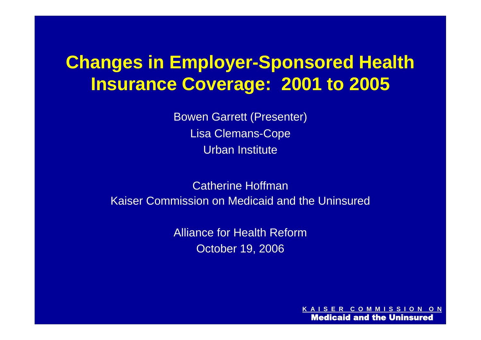## **Changes in Employer-Sponsored Health Insurance Coverage: 2001 to 2005**

Bowen Garrett (Presenter) Lisa Clemans-Cope Urban Institute

Catherine Hoffman Kaiser Commission on Medicaid and the Uninsured

> Alliance for Health Reform October 19, 2006

> > **R COMMISS** Medicaid and the Uninsured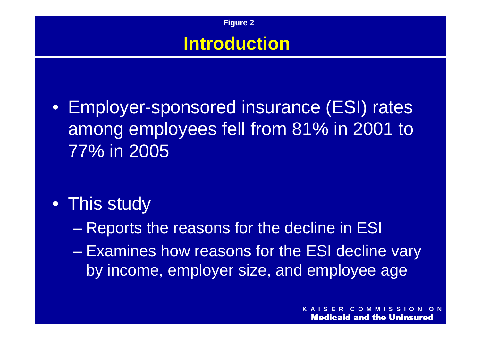

**Figure 2**

- Employer-sponsored insurance (ESI) rates among employees fell from 81% in 2001 to 77% in 2005
- This study
	- Reports the reasons for the decline in ESI
	- Examines how reasons for the ESI decline vary by income, employer size, and employee age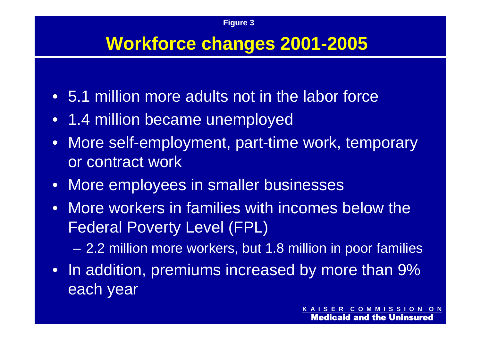## **Workforce changes 2001-2005**

- 5.1 million more adults not in the labor force
- 1.4 million became unemployed
- More self-employment, part-time work, temporary or contract work
- More employees in smaller businesses
- More workers in families with incomes below the Federal Poverty Level (FPL)

– 2.2 million more workers, but 1.8 million in poor families

• In addition, premiums increased by more than 9% each year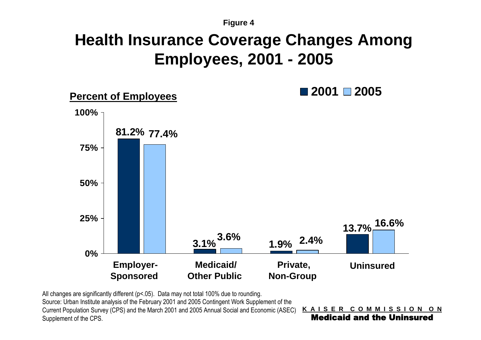**Figure 4**

## **Health Insurance Coverage Changes Among Employees, 2001 - 2005**



All changes are significantly different (p<.05). Data may not total 100% due to rounding.

Source: Urban Institute analysis of the February 2001 and 2005 Contingent Work Supplement of the Current Population Survey (CPS) and the March 2001 and 2005 Annual Social and Economic (ASEC) Supplement of the CPS.

**K A I S E R C O M M I S S I O N O N** Medicaid and the Uninsured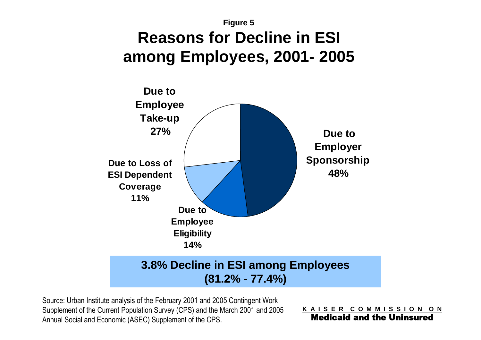#### **Figure 5 Reasons for Decline in ESI among Employees, 2001- 2005**



Source: Urban Institute analysis of the February 2001 and 2005 Contingent Work Supplement of the Current Population Survey (CPS) and the March 2001 and 2005 Annual Social and Economic (ASEC) Supplement of the CPS.

**K A I S E R C O M M I S S I O N O N** Medicaid and the Uninsured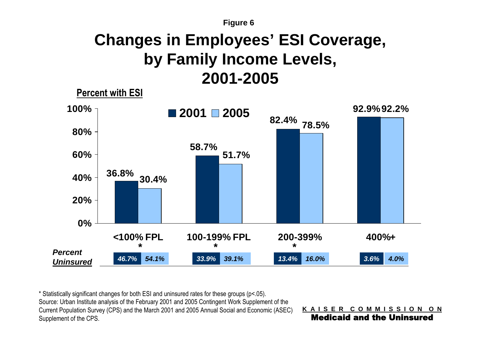#### **Figure 6 Changes in Employees' ESI Coverage, by Family Income Levels, 2001-2005**



\* Statistically significant changes for both ESI and uninsured rates for these groups (p<.05). Source: Urban Institute analysis of the February 2001 and 2005 Contingent Work Supplement of the Current Population Survey (CPS) and the March 2001 and 2005 Annual Social and Economic (ASEC) Supplement of the CPS.

**K A I S E R C O M M I S S I O N O N**

Medicaid and the Uninsured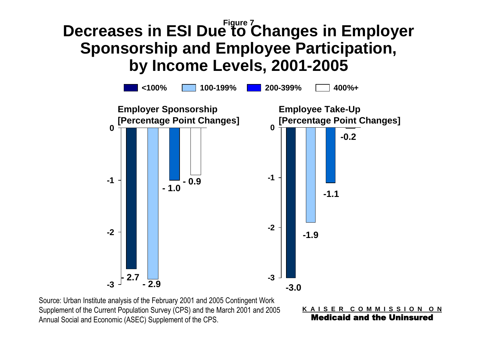## **Figure 7 Decreases in ESI Due to Changes in Employer Sponsorship and Employee Participation, by Income Levels, 2001-2005**



Source: Urban Institute analysis of the February 2001 and 2005 Contingent Work Supplement of the Current Population Survey (CPS) and the March 2001 and 2005 Annual Social and Economic (ASEC) Supplement of the CPS.

**K A I S E R C O M M I S S I O N O N** Medicaid and the Uninsured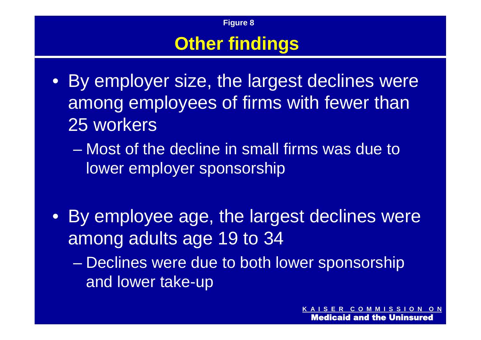# **Other findings**

**Figure 8**

- By employer size, the largest declines were among employees of firms with fewer than 25 workers
	- Most of the decline in small firms was due to lower employer sponsorship
- By employee age, the largest declines were among adults age 19 to 34
	- Declines were due to both lower sponsorship and lower take-up